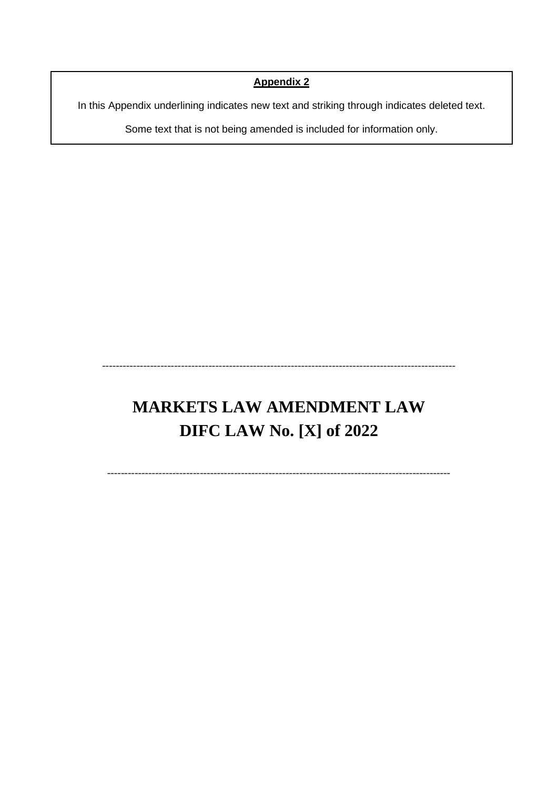# **Appendix 2**

In this Appendix underlining indicates new text and striking through indicates deleted text.

Some text that is not being amended is included for information only.

# **MARKETS LAW AMENDMENT LAW DIFC LAW No. [X] of 2022**

-------------------------------------------------------------------------------------------------------

----------------------------------------------------------------------------------------------------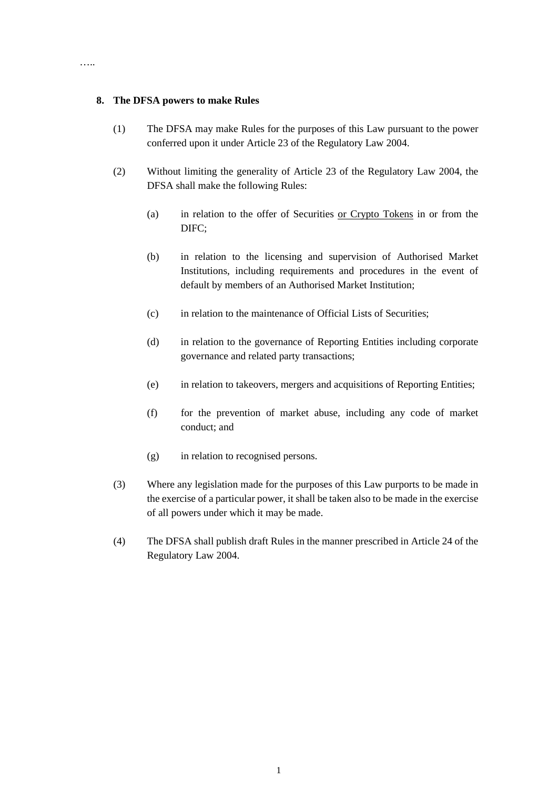#### **8. The DFSA powers to make Rules**

…..

- (1) The DFSA may make Rules for the purposes of this Law pursuant to the power conferred upon it under Article 23 of the Regulatory Law 2004.
- (2) Without limiting the generality of Article 23 of the Regulatory Law 2004, the DFSA shall make the following Rules:
	- (a) in relation to the offer of Securities or Crypto Tokens in or from the DIFC;
	- (b) in relation to the licensing and supervision of Authorised Market Institutions, including requirements and procedures in the event of default by members of an Authorised Market Institution;
	- (c) in relation to the maintenance of Official Lists of Securities;
	- (d) in relation to the governance of Reporting Entities including corporate governance and related party transactions;
	- (e) in relation to takeovers, mergers and acquisitions of Reporting Entities;
	- (f) for the prevention of market abuse, including any code of market conduct; and
	- (g) in relation to recognised persons.
- (3) Where any legislation made for the purposes of this Law purports to be made in the exercise of a particular power, it shall be taken also to be made in the exercise of all powers under which it may be made.
- (4) The DFSA shall publish draft Rules in the manner prescribed in Article 24 of the Regulatory Law 2004.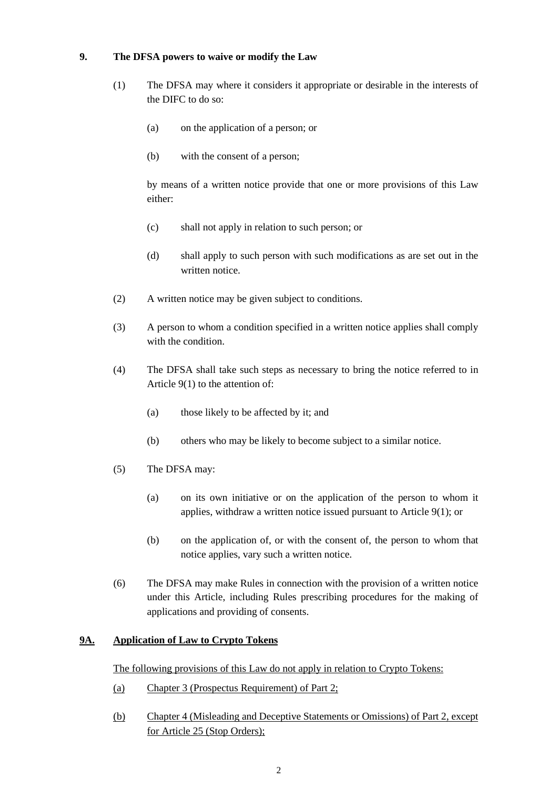## **9. The DFSA powers to waive or modify the Law**

- (1) The DFSA may where it considers it appropriate or desirable in the interests of the DIFC to do so:
	- (a) on the application of a person; or
	- (b) with the consent of a person;

by means of a written notice provide that one or more provisions of this Law either:

- (c) shall not apply in relation to such person; or
- (d) shall apply to such person with such modifications as are set out in the written notice.
- (2) A written notice may be given subject to conditions.
- (3) A person to whom a condition specified in a written notice applies shall comply with the condition.
- (4) The DFSA shall take such steps as necessary to bring the notice referred to in Article 9(1) to the attention of:
	- (a) those likely to be affected by it; and
	- (b) others who may be likely to become subject to a similar notice.
- (5) The DFSA may:
	- (a) on its own initiative or on the application of the person to whom it applies, withdraw a written notice issued pursuant to Article 9(1); or
	- (b) on the application of, or with the consent of, the person to whom that notice applies, vary such a written notice.
- (6) The DFSA may make Rules in connection with the provision of a written notice under this Article, including Rules prescribing procedures for the making of applications and providing of consents.

## **9A. Application of Law to Crypto Tokens**

The following provisions of this Law do not apply in relation to Crypto Tokens:

- (a) Chapter 3 (Prospectus Requirement) of Part 2;
- (b) Chapter 4 (Misleading and Deceptive Statements or Omissions) of Part 2, except for Article 25 (Stop Orders);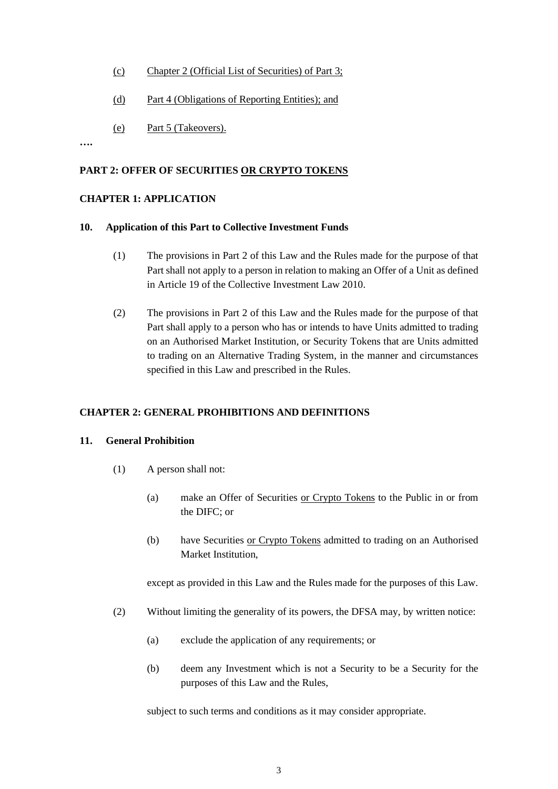- (c) Chapter 2 (Official List of Securities) of Part 3;
- (d) Part 4 (Obligations of Reporting Entities); and
- (e) Part 5 (Takeovers).

**….**

#### **PART 2: OFFER OF SECURITIES OR CRYPTO TOKENS**

#### **CHAPTER 1: APPLICATION**

#### **10. Application of this Part to Collective Investment Funds**

- (1) The provisions in Part 2 of this Law and the Rules made for the purpose of that Part shall not apply to a person in relation to making an Offer of a Unit as defined in Article 19 of the Collective Investment Law 2010.
- (2) The provisions in Part 2 of this Law and the Rules made for the purpose of that Part shall apply to a person who has or intends to have Units admitted to trading on an Authorised Market Institution, or Security Tokens that are Units admitted to trading on an Alternative Trading System, in the manner and circumstances specified in this Law and prescribed in the Rules.

#### **CHAPTER 2: GENERAL PROHIBITIONS AND DEFINITIONS**

#### **11. General Prohibition**

- (1) A person shall not:
	- (a) make an Offer of Securities or Crypto Tokens to the Public in or from the DIFC; or
	- (b) have Securities or Crypto Tokens admitted to trading on an Authorised Market Institution,

except as provided in this Law and the Rules made for the purposes of this Law.

- (2) Without limiting the generality of its powers, the DFSA may, by written notice:
	- (a) exclude the application of any requirements; or
	- (b) deem any Investment which is not a Security to be a Security for the purposes of this Law and the Rules,

subject to such terms and conditions as it may consider appropriate.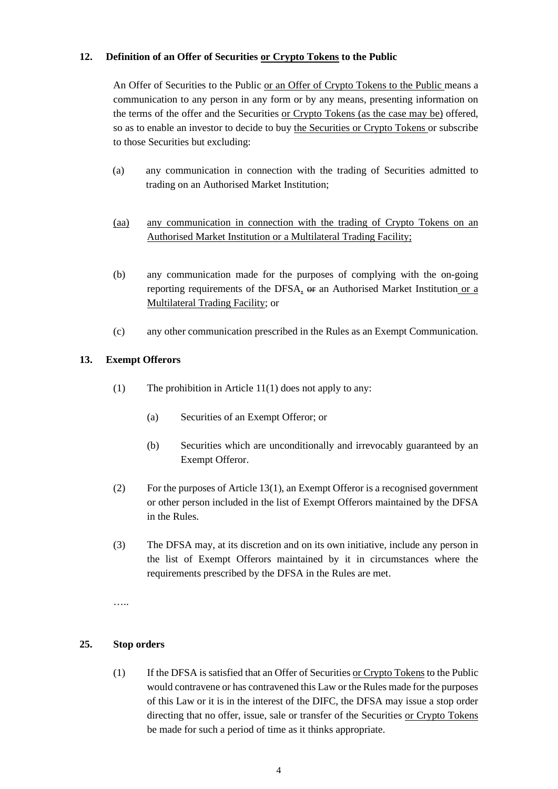## **12. Definition of an Offer of Securities or Crypto Tokens to the Public**

An Offer of Securities to the Public or an Offer of Crypto Tokens to the Public means a communication to any person in any form or by any means, presenting information on the terms of the offer and the Securities or Crypto Tokens (as the case may be) offered, so as to enable an investor to decide to buy the Securities or Crypto Tokens or subscribe to those Securities but excluding:

- (a) any communication in connection with the trading of Securities admitted to trading on an Authorised Market Institution;
- (aa) any communication in connection with the trading of Crypto Tokens on an Authorised Market Institution or a Multilateral Trading Facility;
- (b) any communication made for the purposes of complying with the on-going reporting requirements of the DFSA, or an Authorised Market Institution or a Multilateral Trading Facility; or
- (c) any other communication prescribed in the Rules as an Exempt Communication.

## **13. Exempt Offerors**

- (1) The prohibition in Article 11(1) does not apply to any:
	- (a) Securities of an Exempt Offeror; or
	- (b) Securities which are unconditionally and irrevocably guaranteed by an Exempt Offeror.
- (2) For the purposes of Article 13(1), an Exempt Offeror is a recognised government or other person included in the list of Exempt Offerors maintained by the DFSA in the Rules.
- (3) The DFSA may, at its discretion and on its own initiative, include any person in the list of Exempt Offerors maintained by it in circumstances where the requirements prescribed by the DFSA in the Rules are met.

…

## **25. Stop orders**

(1) If the DFSA is satisfied that an Offer of Securities or Crypto Tokens to the Public would contravene or has contravened this Law or the Rules made for the purposes of this Law or it is in the interest of the DIFC, the DFSA may issue a stop order directing that no offer, issue, sale or transfer of the Securities or Crypto Tokens be made for such a period of time as it thinks appropriate.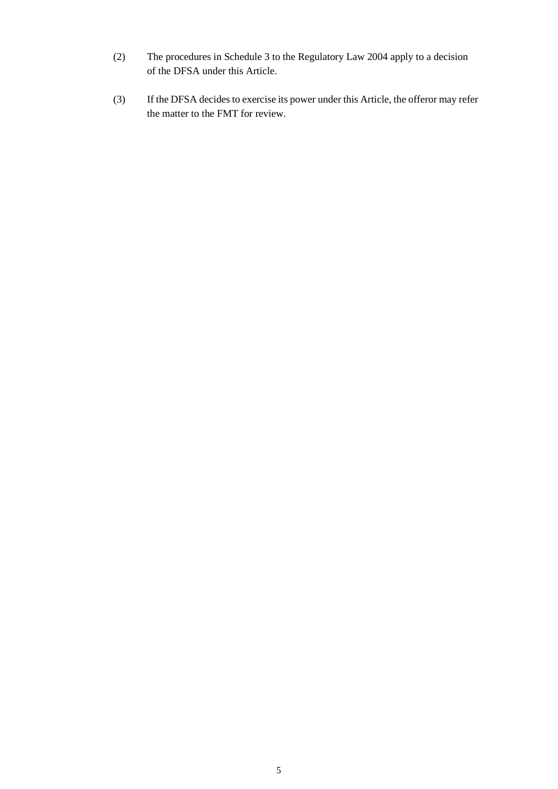- (2) The procedures in Schedule 3 to the Regulatory Law 2004 apply to a decision of the DFSA under this Article.
- (3) If the DFSA decides to exercise its power under this Article, the offeror may refer the matter to the FMT for review.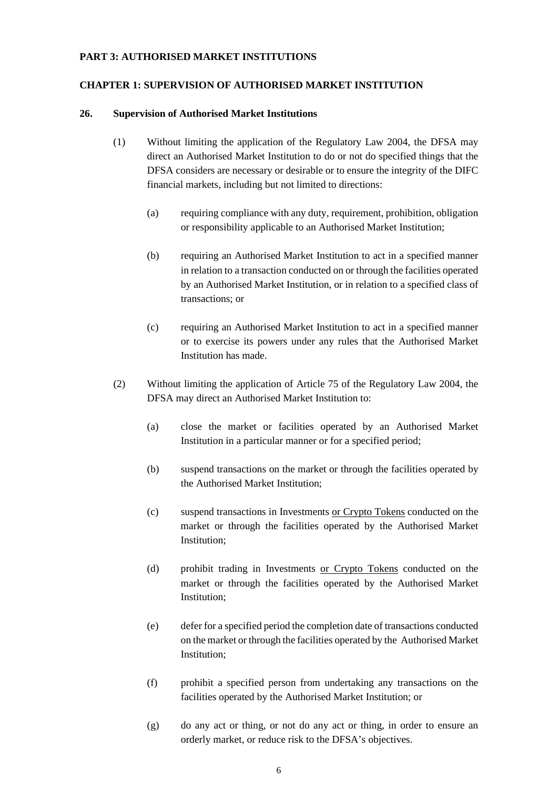#### **PART 3: AUTHORISED MARKET INSTITUTIONS**

#### **CHAPTER 1: SUPERVISION OF AUTHORISED MARKET INSTITUTION**

#### **26. Supervision of Authorised Market Institutions**

- (1) Without limiting the application of the Regulatory Law 2004, the DFSA may direct an Authorised Market Institution to do or not do specified things that the DFSA considers are necessary or desirable or to ensure the integrity of the DIFC financial markets, including but not limited to directions:
	- (a) requiring compliance with any duty, requirement, prohibition, obligation or responsibility applicable to an Authorised Market Institution;
	- (b) requiring an Authorised Market Institution to act in a specified manner in relation to a transaction conducted on or through the facilities operated by an Authorised Market Institution, or in relation to a specified class of transactions; or
	- (c) requiring an Authorised Market Institution to act in a specified manner or to exercise its powers under any rules that the Authorised Market Institution has made.
- (2) Without limiting the application of Article 75 of the Regulatory Law 2004, the DFSA may direct an Authorised Market Institution to:
	- (a) close the market or facilities operated by an Authorised Market Institution in a particular manner or for a specified period;
	- (b) suspend transactions on the market or through the facilities operated by the Authorised Market Institution;
	- (c) suspend transactions in Investments or Crypto Tokens conducted on the market or through the facilities operated by the Authorised Market Institution;
	- (d) prohibit trading in Investments or Crypto Tokens conducted on the market or through the facilities operated by the Authorised Market Institution;
	- (e) defer for a specified period the completion date of transactions conducted on the market or through the facilities operated by the Authorised Market Institution;
	- (f) prohibit a specified person from undertaking any transactions on the facilities operated by the Authorised Market Institution; or
	- (g) do any act or thing, or not do any act or thing, in order to ensure an orderly market, or reduce risk to the DFSA's objectives.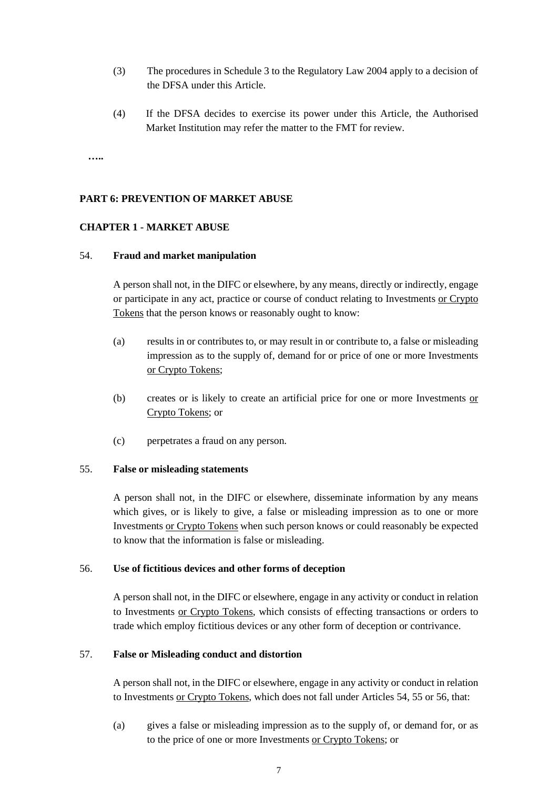- (3) The procedures in Schedule 3 to the Regulatory Law 2004 apply to a decision of the DFSA under this Article.
- (4) If the DFSA decides to exercise its power under this Article, the Authorised Market Institution may refer the matter to the FMT for review.

**…..**

## **PART 6: PREVENTION OF MARKET ABUSE**

#### **CHAPTER 1 - MARKET ABUSE**

#### 54. **Fraud and market manipulation**

A person shall not, in the DIFC or elsewhere, by any means, directly or indirectly, engage or participate in any act, practice or course of conduct relating to Investments or Crypto Tokens that the person knows or reasonably ought to know:

- (a) results in or contributes to, or may result in or contribute to, a false or misleading impression as to the supply of, demand for or price of one or more Investments or Crypto Tokens;
- (b) creates or is likely to create an artificial price for one or more Investments or Crypto Tokens; or
- (c) perpetrates a fraud on any person.

#### 55. **False or misleading statements**

A person shall not, in the DIFC or elsewhere, disseminate information by any means which gives, or is likely to give, a false or misleading impression as to one or more Investments or Crypto Tokens when such person knows or could reasonably be expected to know that the information is false or misleading.

#### 56. **Use of fictitious devices and other forms of deception**

A person shall not, in the DIFC or elsewhere, engage in any activity or conduct in relation to Investments or Crypto Tokens, which consists of effecting transactions or orders to trade which employ fictitious devices or any other form of deception or contrivance.

#### 57. **False or Misleading conduct and distortion**

A person shall not, in the DIFC or elsewhere, engage in any activity or conduct in relation to Investments or Crypto Tokens, which does not fall under Articles 54, 55 or 56, that:

(a) gives a false or misleading impression as to the supply of, or demand for, or as to the price of one or more Investments or Crypto Tokens; or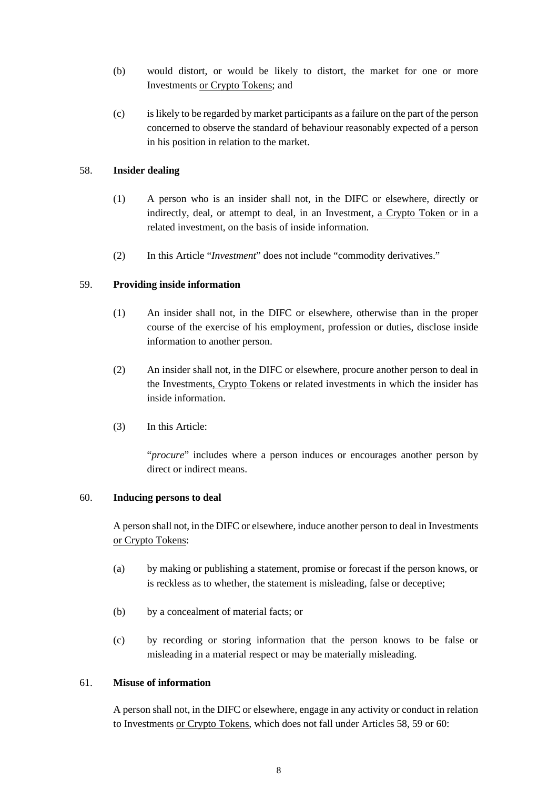- (b) would distort, or would be likely to distort, the market for one or more Investments or Crypto Tokens; and
- (c) is likely to be regarded by market participants as a failure on the part of the person concerned to observe the standard of behaviour reasonably expected of a person in his position in relation to the market.

## 58. **Insider dealing**

- (1) A person who is an insider shall not, in the DIFC or elsewhere, directly or indirectly, deal, or attempt to deal, in an Investment, a Crypto Token or in a related investment, on the basis of inside information.
- (2) In this Article "*Investment*" does not include "commodity derivatives."

#### 59. **Providing inside information**

- (1) An insider shall not, in the DIFC or elsewhere, otherwise than in the proper course of the exercise of his employment, profession or duties, disclose inside information to another person.
- (2) An insider shall not, in the DIFC or elsewhere, procure another person to deal in the Investments, Crypto Tokens or related investments in which the insider has inside information.
- (3) In this Article:

"*procure*" includes where a person induces or encourages another person by direct or indirect means.

#### 60. **Inducing persons to deal**

A person shall not, in the DIFC or elsewhere, induce another person to deal in Investments or Crypto Tokens:

- (a) by making or publishing a statement, promise or forecast if the person knows, or is reckless as to whether, the statement is misleading, false or deceptive;
- (b) by a concealment of material facts; or
- (c) by recording or storing information that the person knows to be false or misleading in a material respect or may be materially misleading.

#### 61. **Misuse of information**

A person shall not, in the DIFC or elsewhere, engage in any activity or conduct in relation to Investments or Crypto Tokens, which does not fall under Articles 58, 59 or 60: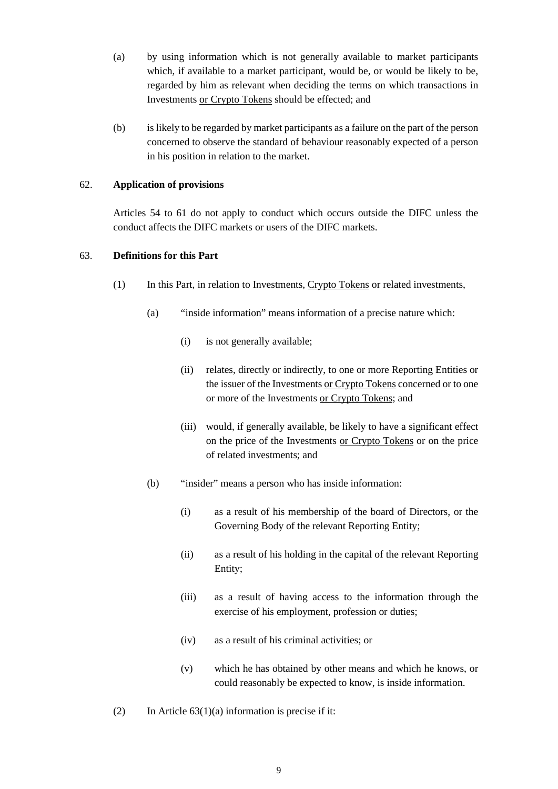- (a) by using information which is not generally available to market participants which, if available to a market participant, would be, or would be likely to be, regarded by him as relevant when deciding the terms on which transactions in Investments or Crypto Tokens should be effected; and
- (b) is likely to be regarded by market participants as a failure on the part of the person concerned to observe the standard of behaviour reasonably expected of a person in his position in relation to the market.

## 62. **Application of provisions**

Articles 54 to 61 do not apply to conduct which occurs outside the DIFC unless the conduct affects the DIFC markets or users of the DIFC markets.

## 63. **Definitions for this Part**

- (1) In this Part, in relation to Investments, Crypto Tokens or related investments,
	- (a) "inside information" means information of a precise nature which:
		- (i) is not generally available;
		- (ii) relates, directly or indirectly, to one or more Reporting Entities or the issuer of the Investments or Crypto Tokens concerned or to one or more of the Investments or Crypto Tokens; and
		- (iii) would, if generally available, be likely to have a significant effect on the price of the Investments or Crypto Tokens or on the price of related investments; and
	- (b) "insider" means a person who has inside information:
		- (i) as a result of his membership of the board of Directors, or the Governing Body of the relevant Reporting Entity;
		- (ii) as a result of his holding in the capital of the relevant Reporting Entity;
		- (iii) as a result of having access to the information through the exercise of his employment, profession or duties;
		- (iv) as a result of his criminal activities; or
		- (v) which he has obtained by other means and which he knows, or could reasonably be expected to know, is inside information.
- (2) In Article  $63(1)(a)$  information is precise if it: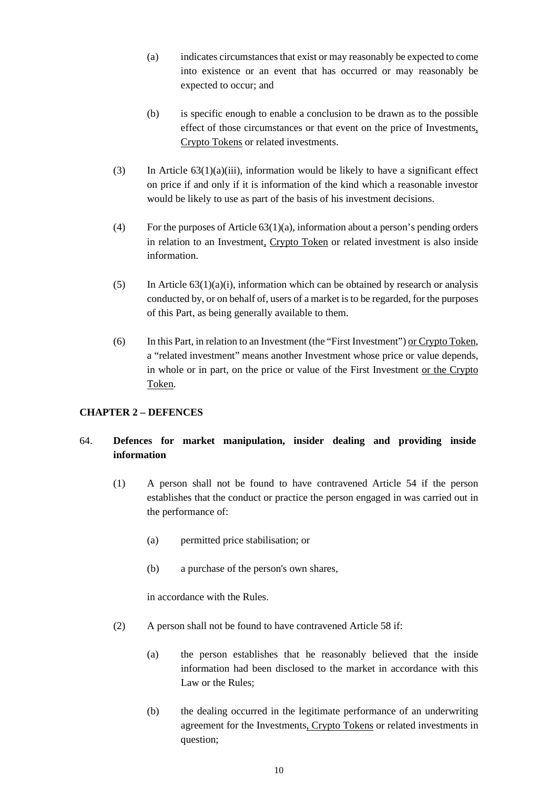- (a) indicates circumstances that exist or may reasonably be expected to come into existence or an event that has occurred or may reasonably be expected to occur; and
- (b) is specific enough to enable a conclusion to be drawn as to the possible effect of those circumstances or that event on the price of Investments, Crypto Tokens or related investments.
- (3) In Article  $63(1)(a)(iii)$ , information would be likely to have a significant effect on price if and only if it is information of the kind which a reasonable investor would be likely to use as part of the basis of his investment decisions.
- (4) For the purposes of Article 63(1)(a), information about a person's pending orders in relation to an Investment, Crypto Token or related investment is also inside information.
- (5) In Article  $63(1)(a)(i)$ , information which can be obtained by research or analysis conducted by, or on behalf of, users of a market is to be regarded, for the purposes of this Part, as being generally available to them.
- (6) In this Part, in relation to an Investment (the "First Investment") or Crypto Token, a "related investment" means another Investment whose price or value depends, in whole or in part, on the price or value of the First Investment or the Crypto Token.

## **CHAPTER 2 – DEFENCES**

## 64. **Defences for market manipulation, insider dealing and providing inside information**

- (1) A person shall not be found to have contravened Article 54 if the person establishes that the conduct or practice the person engaged in was carried out in the performance of:
	- (a) permitted price stabilisation; or
	- (b) a purchase of the person's own shares,

in accordance with the Rules.

- (2) A person shall not be found to have contravened Article 58 if:
	- (a) the person establishes that he reasonably believed that the inside information had been disclosed to the market in accordance with this Law or the Rules;
	- (b) the dealing occurred in the legitimate performance of an underwriting agreement for the Investments, Crypto Tokens or related investments in question;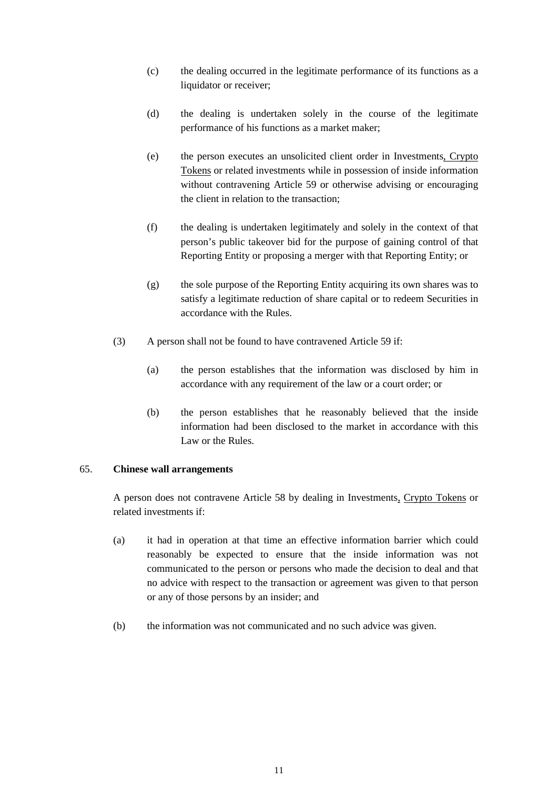- (c) the dealing occurred in the legitimate performance of its functions as a liquidator or receiver;
- (d) the dealing is undertaken solely in the course of the legitimate performance of his functions as a market maker;
- (e) the person executes an unsolicited client order in Investments, Crypto Tokens or related investments while in possession of inside information without contravening Article 59 or otherwise advising or encouraging the client in relation to the transaction;
- (f) the dealing is undertaken legitimately and solely in the context of that person's public takeover bid for the purpose of gaining control of that Reporting Entity or proposing a merger with that Reporting Entity; or
- (g) the sole purpose of the Reporting Entity acquiring its own shares was to satisfy a legitimate reduction of share capital or to redeem Securities in accordance with the Rules.
- (3) A person shall not be found to have contravened Article 59 if:
	- (a) the person establishes that the information was disclosed by him in accordance with any requirement of the law or a court order; or
	- (b) the person establishes that he reasonably believed that the inside information had been disclosed to the market in accordance with this Law or the Rules.

#### 65. **Chinese wall arrangements**

A person does not contravene Article 58 by dealing in Investments, Crypto Tokens or related investments if:

- (a) it had in operation at that time an effective information barrier which could reasonably be expected to ensure that the inside information was not communicated to the person or persons who made the decision to deal and that no advice with respect to the transaction or agreement was given to that person or any of those persons by an insider; and
- (b) the information was not communicated and no such advice was given.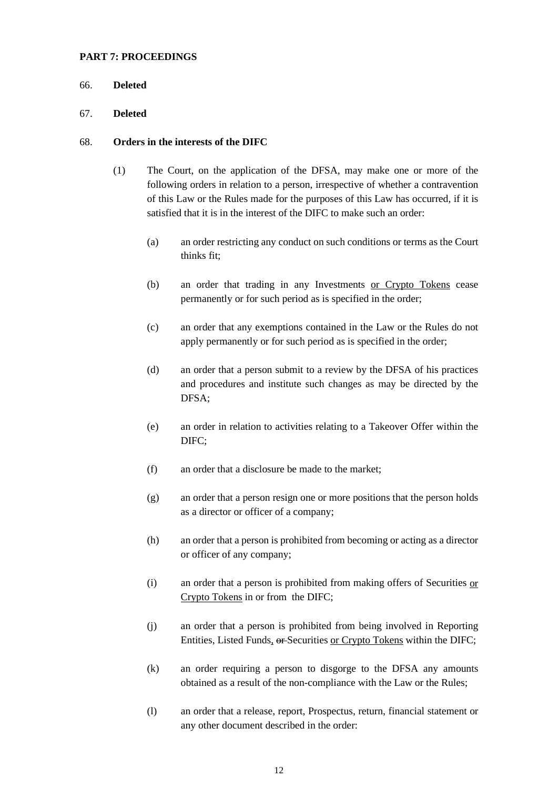#### **PART 7: PROCEEDINGS**

#### 66. **Deleted**

#### 67. **Deleted**

#### 68. **Orders in the interests of the DIFC**

- (1) The Court, on the application of the DFSA, may make one or more of the following orders in relation to a person, irrespective of whether a contravention of this Law or the Rules made for the purposes of this Law has occurred, if it is satisfied that it is in the interest of the DIFC to make such an order:
	- (a) an order restricting any conduct on such conditions or terms as the Court thinks fit;
	- (b) an order that trading in any Investments or Crypto Tokens cease permanently or for such period as is specified in the order;
	- (c) an order that any exemptions contained in the Law or the Rules do not apply permanently or for such period as is specified in the order;
	- (d) an order that a person submit to a review by the DFSA of his practices and procedures and institute such changes as may be directed by the DFSA;
	- (e) an order in relation to activities relating to a Takeover Offer within the DIFC;
	- (f) an order that a disclosure be made to the market;
	- (g) an order that a person resign one or more positions that the person holds as a director or officer of a company;
	- (h) an order that a person is prohibited from becoming or acting as a director or officer of any company;
	- (i) an order that a person is prohibited from making offers of Securities or Crypto Tokens in or from the DIFC;
	- (j) an order that a person is prohibited from being involved in Reporting Entities, Listed Funds, or Securities or Crypto Tokens within the DIFC;
	- (k) an order requiring a person to disgorge to the DFSA any amounts obtained as a result of the non-compliance with the Law or the Rules;
	- (l) an order that a release, report, Prospectus, return, financial statement or any other document described in the order: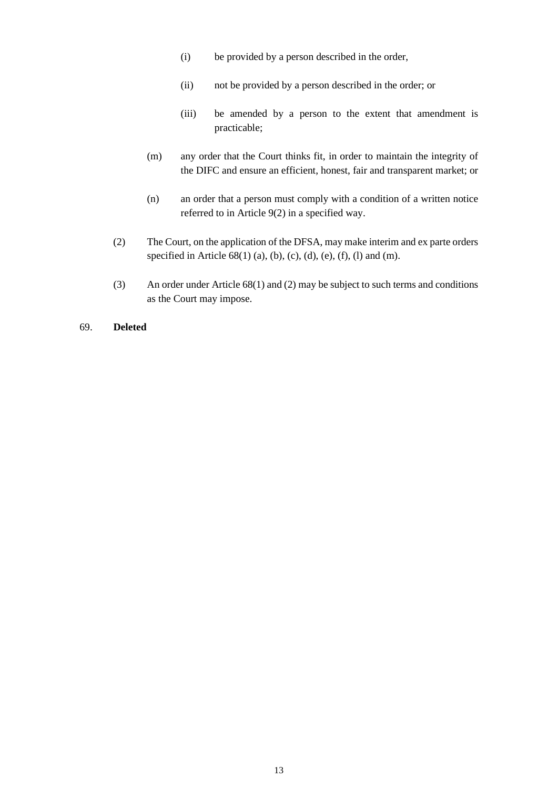- (i) be provided by a person described in the order,
- (ii) not be provided by a person described in the order; or
- (iii) be amended by a person to the extent that amendment is practicable;
- (m) any order that the Court thinks fit, in order to maintain the integrity of the DIFC and ensure an efficient, honest, fair and transparent market; or
- (n) an order that a person must comply with a condition of a written notice referred to in Article 9(2) in a specified way.
- (2) The Court, on the application of the DFSA, may make interim and ex parte orders specified in Article  $68(1)$  (a), (b), (c), (d), (e), (f), (l) and (m).
- (3) An order under Article 68(1) and (2) may be subject to such terms and conditions as the Court may impose.

## 69. **Deleted**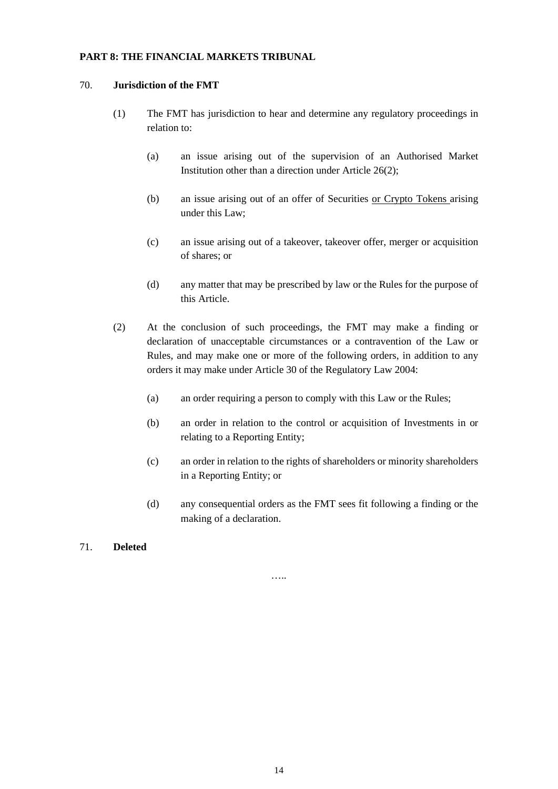## **PART 8: THE FINANCIAL MARKETS TRIBUNAL**

#### 70. **Jurisdiction of the FMT**

- (1) The FMT has jurisdiction to hear and determine any regulatory proceedings in relation to:
	- (a) an issue arising out of the supervision of an Authorised Market Institution other than a direction under Article 26(2);
	- (b) an issue arising out of an offer of Securities or Crypto Tokens arising under this Law;
	- (c) an issue arising out of a takeover, takeover offer, merger or acquisition of shares; or
	- (d) any matter that may be prescribed by law or the Rules for the purpose of this Article.
- (2) At the conclusion of such proceedings, the FMT may make a finding or declaration of unacceptable circumstances or a contravention of the Law or Rules, and may make one or more of the following orders, in addition to any orders it may make under Article 30 of the Regulatory Law 2004:
	- (a) an order requiring a person to comply with this Law or the Rules;
	- (b) an order in relation to the control or acquisition of Investments in or relating to a Reporting Entity;
	- (c) an order in relation to the rights of shareholders or minority shareholders in a Reporting Entity; or
	- (d) any consequential orders as the FMT sees fit following a finding or the making of a declaration.

#### 71. **Deleted**

…..